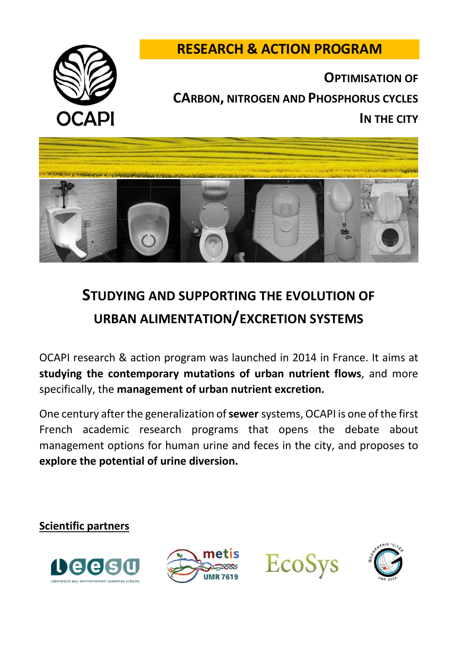

**RESEARCH & ACTION PROGRAM** 

**OPTIMISATION OF CARBON, NITROGEN AND PHOSPHORUS CYCLES IN THE CITY**



# **STUDYING AND SUPPORTING THE EVOLUTION OF URBAN ALIMENTATION/EXCRETION SYSTEMS**

OCAPI research & action program was launched in 2014 in France. It aims at **studying the contemporary mutations of urban nutrient flows**, and more specifically, the **management of urban nutrient excretion.**

One century after the generalization of **sewer** systems, OCAPI is one of the first French academic research programs that opens the debate about management options for human urine and feces in the city, and proposes to **explore the potential of urine diversion.**

**Scientific partners** 







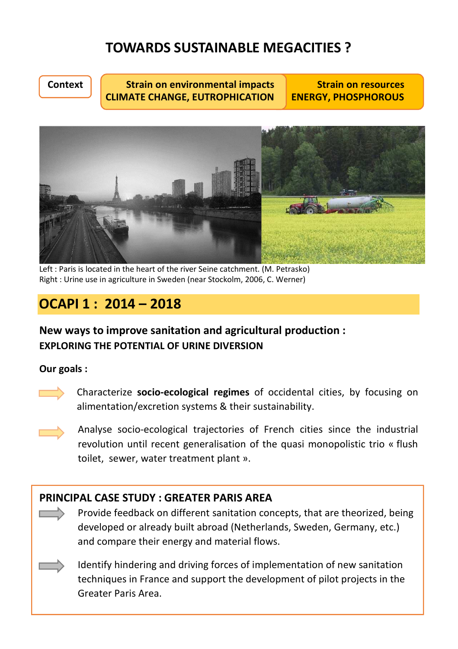## **TOWARDS SUSTAINABLE MEGACITIES ?**

**Context Strain on environmental impacts CLIMATE CHANGE, EUTROPHICATION**

 **Strain on resources ENERGY, PHOSPHOROUS**



Left : Paris is located in the heart of the river Seine catchment. (M. Petrasko) Right : Urine use in agriculture in Sweden (near Stockolm, 2006, C. Werner)

## **OCAPI 1 : 2014 – 2018**

### **New ways to improve sanitation and agricultural production : EXPLORING THE POTENTIAL OF URINE DIVERSION**

#### **Our goals :**



Characterize **socio-ecological regimes** of occidental cities, by focusing on alimentation/excretion systems & their sustainability.

Analyse socio-ecological trajectories of French cities since the industrial revolution until recent generalisation of the quasi monopolistic trio « flush toilet, sewer, water treatment plant ».

#### **PRINCIPAL CASE STUDY : GREATER PARIS AREA**

Provide feedback on different sanitation concepts, that are theorized, being developed or already built abroad (Netherlands, Sweden, Germany, etc.) and compare their energy and material flows.

Identify hindering and driving forces of implementation of new sanitation techniques in France and support the development of pilot projects in the Greater Paris Area.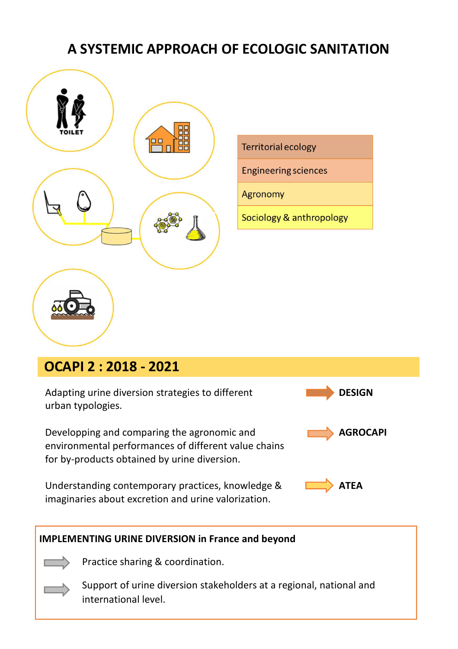## **A SYSTEMIC APPROACH OF ECOLOGIC SANITATION**



## **OCAPI 2 : 2018 - 2021**

Adapting urine diversion strategies to different urban typologies.

Developping and comparing the agronomic and environmental performances of different value chains for by-products obtained by urine diversion.

Understanding contemporary practices, knowledge & imaginaries about excretion and urine valorization.



#### **IMPLEMENTING URINE DIVERSION in France and beyond**

Practice sharing & coordination.



Support of urine diversion stakeholders at a regional, national and international level.